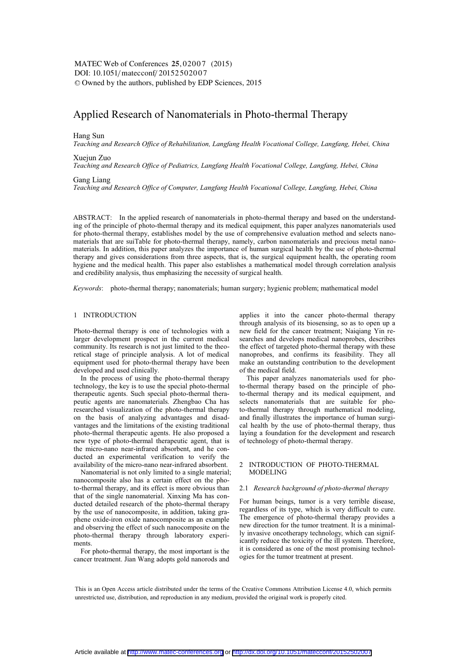DOI: 10.1051/matecconf/20152502007 -<sup>C</sup> Owned by the authors, published by EDP Sciences, 2015 MATEC Web of Conferences 25,02007 (2015)

# Applied Research of Nanomaterials in Photo-thermal Therapy

#### Hang Sun

*Teaching and Research Office of Rehabilitation, Langfang Health Vocational College, Langfang, Hebei, China*

## Xuejun Zuo

*Teaching and Research Office of Pediatrics, Langfang Health Vocational College, Langfang, Hebei, China* 

#### Gang Liang

*Teaching and Research Office of Computer, Langfang Health Vocational College, Langfang, Hebei, China* 

ABSTRACT: In the applied research of nanomaterials in photo-thermal therapy and based on the understanding of the principle of photo-thermal therapy and its medical equipment, this paper analyzes nanomaterials used for photo-thermal therapy, establishes model by the use of comprehensive evaluation method and selects nanomaterials that are suiTable for photo-thermal therapy, namely, carbon nanomaterials and precious metal nanomaterials. In addition, this paper analyzes the importance of human surgical health by the use of photo-thermal therapy and gives considerations from three aspects, that is, the surgical equipment health, the operating room hygiene and the medical health. This paper also establishes a mathematical model through correlation analysis and credibility analysis, thus emphasizing the necessity of surgical health.

*Keywords*: photo-thermal therapy; nanomaterials; human surgery; hygienic problem; mathematical model

# 1 INTRODUCTION

Photo-thermal therapy is one of technologies with a larger development prospect in the current medical community. Its research is not just limited to the theoretical stage of principle analysis. A lot of medical equipment used for photo-thermal therapy have been developed and used clinically.

In the process of using the photo-thermal therapy technology, the key is to use the special photo-thermal therapeutic agents. Such special photo-thermal therapeutic agents are nanomaterials. Zhengbao Cha has researched visualization of the photo-thermal therapy on the basis of analyzing advantages and disadvantages and the limitations of the existing traditional photo-thermal therapeutic agents. He also proposed a new type of photo-thermal therapeutic agent, that is the micro-nano near-infrared absorbent, and he conducted an experimental verification to verify the availability of the micro-nano near-infrared absorbent.

Nanomaterial is not only limited to a single material; nanocomposite also has a certain effect on the photo-thermal therapy, and its effect is more obvious than that of the single nanomaterial. Xinxing Ma has conducted detailed research of the photo-thermal therapy by the use of nanocomposite, in addition, taking graphene oxide-iron oxide nanocomposite as an example and observing the effect of such nanocomposite on the photo-thermal therapy through laboratory experiments.

For photo-thermal therapy, the most important is the cancer treatment. Jian Wang adopts gold nanorods and applies it into the cancer photo-thermal therapy through analysis of its biosensing, so as to open up a new field for the cancer treatment; Naiqiang Yin researches and develops medical nanoprobes, describes the effect of targeted photo-thermal therapy with these nanoprobes, and confirms its feasibility. They all make an outstanding contribution to the development of the medical field.

This paper analyzes nanomaterials used for photo-thermal therapy based on the principle of photo-thermal therapy and its medical equipment, and selects nanomaterials that are suitable for photo-thermal therapy through mathematical modeling, and finally illustrates the importance of human surgical health by the use of photo-thermal therapy, thus laying a foundation for the development and research of technology of photo-thermal therapy.

# 2 INTRODUCTION OF PHOTO-THERMAL MODELING

# 2.1 *Research background of photo-thermal therapy*

For human beings, tumor is a very terrible disease, regardless of its type, which is very difficult to cure. The emergence of photo-thermal therapy provides a new direction for the tumor treatment. It is a minimally invasive oncotherapy technology, which can significantly reduce the toxicity of the ill system. Therefore, it is considered as one of the most promising technologies for the tumor treatment at present.

This is an Open Access article distributed under the terms of the Creative Commons Attribution License 4.0, which permits unrestricted use, distribution, and reproduction in any medium, provided the original work is properly cited.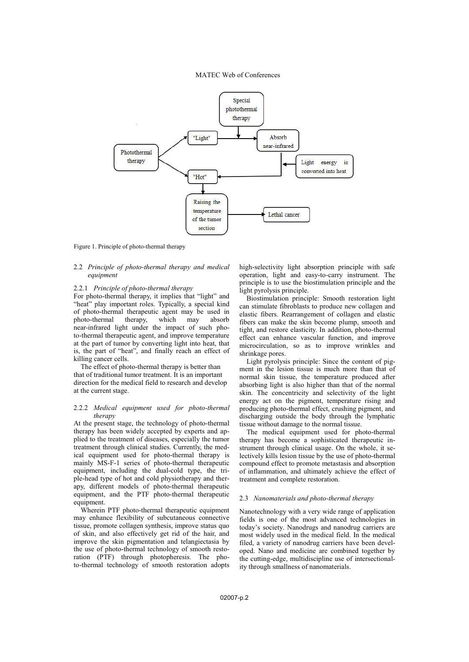## MATEC Web of Conferences



Figure 1. Principle of photo-thermal therapy

## 2.2 *Principle of photo-thermal therapy and medical equipment*

## 2.2.1 *Principle of photo-thermal therapy*

For photo-thermal therapy, it implies that "light" and "heat" play important roles. Typically, a special kind of photo-thermal therapeutic agent may be used in photo-thermal therapy, which may absorb photo-thermal therapy, which may absorb near-infrared light under the impact of such photo-thermal therapeutic agent, and improve temperature at the part of tumor by converting light into heat, that is, the part of "heat", and finally reach an effect of killing cancer cells.

The effect of photo-thermal therapy is better than that of traditional tumor treatment. It is an important direction for the medical field to research and develop at the current stage.

## 2.2.2 *Medical equipment used for photo-thermal therapy*

At the present stage, the technology of photo-thermal therapy has been widely accepted by experts and applied to the treatment of diseases, especially the tumor treatment through clinical studies. Currently, the medical equipment used for photo-thermal therapy is mainly MS-F-1 series of photo-thermal therapeutic equipment, including the dual-cold type, the triple-head type of hot and cold physiotherapy and therapy, different models of photo-thermal therapeutic equipment, and the PTF photo-thermal therapeutic equipment.

Wherein PTF photo-thermal therapeutic equipment may enhance flexibility of subcutaneous connective tissue, promote collagen synthesis, improve status quo of skin, and also effectively get rid of the hair, and improve the skin pigmentation and telangiectasia by the use of photo-thermal technology of smooth restoration (PTF) through photopheresis. The photo-thermal technology of smooth restoration adopts

high-selectivity light absorption principle with safe operation, light and easy-to-carry instrument. The principle is to use the biostimulation principle and the light pyrolysis principle.

Biostimulation principle: Smooth restoration light can stimulate fibroblasts to produce new collagen and elastic fibers. Rearrangement of collagen and elastic fibers can make the skin become plump, smooth and tight, and restore elasticity. In addition, photo-thermal effect can enhance vascular function, and improve microcirculation, so as to improve wrinkles and shrinkage pores.

Light pyrolysis principle: Since the content of pigment in the lesion tissue is much more than that of normal skin tissue, the temperature produced after absorbing light is also higher than that of the normal skin. The concentricity and selectivity of the light energy act on the pigment, temperature rising and producing photo-thermal effect, crushing pigment, and discharging outside the body through the lymphatic tissue without damage to the normal tissue.

The medical equipment used for photo-thermal therapy has become a sophisticated therapeutic instrument through clinical usage. On the whole, it selectively kills lesion tissue by the use of photo-thermal compound effect to promote metastasis and absorption of inflammation, and ultimately achieve the effect of treatment and complete restoration.

#### 2.3 *Nanomaterials and photo-thermal therapy*

Nanotechnology with a very wide range of application fields is one of the most advanced technologies in today's society. Nanodrugs and nanodrug carriers are most widely used in the medical field. In the medical filed, a variety of nanodrug carriers have been developed. Nano and medicine are combined together by the cutting-edge, multidiscipline use of intersectionality through smallness of nanomaterials.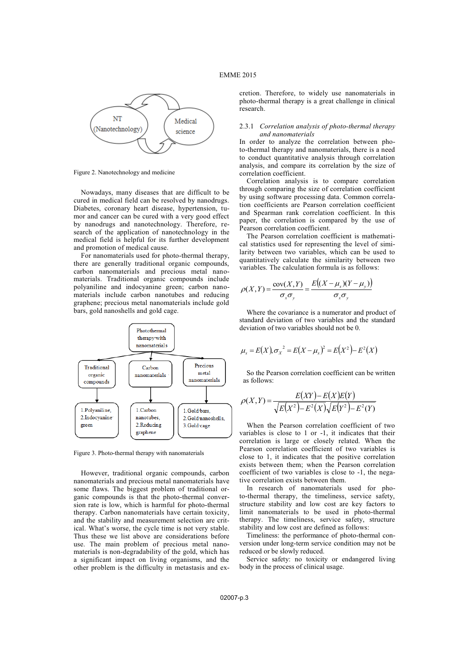

Figure 2. Nanotechnology and medicine

Nowadays, many diseases that are difficult to be cured in medical field can be resolved by nanodrugs. Diabetes, coronary heart disease, hypertension, tumor and cancer can be cured with a very good effect by nanodrugs and nanotechnology. Therefore, research of the application of nanotechnology in the medical field is helpful for its further development and promotion of medical cause.

For nanomaterials used for photo-thermal therapy, there are generally traditional organic compounds, carbon nanomaterials and precious metal nanomaterials. Traditional organic compounds include polyaniline and indocyanine green; carbon nanomaterials include carbon nanotubes and reducing graphene; precious metal nanomaterials include gold bars, gold nanoshells and gold cage.



Figure 3. Photo-thermal therapy with nanomaterials

However, traditional organic compounds, carbon nanomaterials and precious metal nanomaterials have some flaws. The biggest problem of traditional organic compounds is that the photo-thermal conversion rate is low, which is harmful for photo-thermal therapy. Carbon nanomaterials have certain toxicity, and the stability and measurement selection are critical. What's worse, the cycle time is not very stable. Thus these we list above are considerations before use. The main problem of precious metal nanomaterials is non-degradability of the gold, which has a significant impact on living organisms, and the other problem is the difficulty in metastasis and excretion. Therefore, to widely use nanomaterials in photo-thermal therapy is a great challenge in clinical research.

## 2.3.1 *Correlation analysis of photo-thermal therapy and nanomaterials*

In order to analyze the correlation between photo-thermal therapy and nanomaterials, there is a need to conduct quantitative analysis through correlation analysis, and compare its correlation by the size of correlation coefficient.

Correlation analysis is to compare correlation through comparing the size of correlation coefficient by using software processing data. Common correlation coefficients are Pearson correlation coefficient and Spearman rank correlation coefficient. In this paper, the correlation is compared by the use of Pearson correlation coefficient.

The Pearson correlation coefficient is mathematical statistics used for representing the level of similarity between two variables, which can be used to quantitatively calculate the similarity between two variables. The calculation formula is as follows:

$$
\rho(X,Y) = \frac{\text{cov}(X,Y)}{\sigma_x \sigma_y} = \frac{E\big((X-\mu_x)(Y-\mu_y)\big)}{\sigma_x \sigma_y}
$$

Where the covariance is a numerator and product of standard deviation of two variables and the standard deviation of two variables should not be 0.

$$
\mu_x = E(X), \sigma_x^2 = E(X - \mu_x)^2 = E(X^2) - E^2(X)
$$

So the Pearson correlation coefficient can be written as follows:

$$
\rho(X,Y) = \frac{E(XY) - E(X)E(Y)}{\sqrt{E(X^2) - E^2(X)}\sqrt{E(Y^2) - E^2(Y)}}
$$

When the Pearson correlation coefficient of two variables is close to 1 or -1, it indicates that their correlation is large or closely related. When the Pearson correlation coefficient of two variables is close to 1, it indicates that the positive correlation exists between them; when the Pearson correlation coefficient of two variables is close to -1, the negative correlation exists between them.

In research of nanomaterials used for photo-thermal therapy, the timeliness, service safety, structure stability and low cost are key factors to limit nanomaterials to be used in photo-thermal therapy. The timeliness, service safety, structure stability and low cost are defined as follows:

Timeliness: the performance of photo-thermal conversion under long-term service condition may not be reduced or be slowly reduced.

Service safety: no toxicity or endangered living body in the process of clinical usage.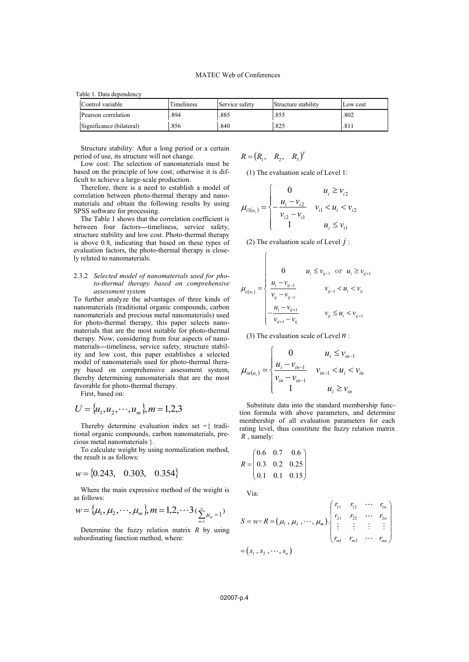# MATEC Web of Conferences

| $1.4010 \pm 1.1000$      |                   |                |                     |          |  |
|--------------------------|-------------------|----------------|---------------------|----------|--|
| Control variable         | <b>Timeliness</b> | Service safety | Structure stability | Low cost |  |
| Pearson correlation      | 894               | .885           | .855                | .802     |  |
| Significance (bilateral) | .856              | 840            | .825                | .811     |  |

Structure stability: After a long period or a certain period of use, its structure will not change.

Low cost: The selection of nanomaterials must be based on the principle of low cost; otherwise it is difficult to achieve a large-scale production.

Therefore, there is a need to establish a model of correlation between photo-thermal therapy and nanomaterials and obtain the following results by using SPSS software for processing.

The Table 1 shows that the correlation coefficient is between four factors**—**timeliness, service safety, structure stability and low cost. Photo-thermal therapy is above 0.8, indicating that based on these types of evaluation factors, the photo-thermal therapy is closely related to nanomaterials.

## 2.3.2 *Selected model of nanomaterials used for photo-thermal therapy based on comprehensive assessment system*

To further analyze the advantages of three kinds of nanomaterials (traditional organic compounds, carbon nanomaterials and precious metal nanomaterials) used for photo-thermal therapy, this paper selects nanomaterials that are the most suitable for photo-thermal therapy. Now, considering from four aspects of nanomaterials**—**timeliness, service safety, structure stability and low cost, this paper establishes a selected model of nanomaterials used for photo-thermal therapy based on comprehensive assessment system, thereby determining nanomaterials that are the most favorable for photo-thermal therapy. This is Dance that the constant in the same of the significant  $\begin{bmatrix}\n\text{Sum} \\
\text{Sum} \\
\text{Cumrt} \\
\text{Cumrt} \\
\text{Cumrt} \\
\text{Sum} \\
\text{Sum} \\
\text{Sum} \\
\text{Sum} \\
\text{Sum} \\
\text{Sum} \\
\text{Sum} \\
\text{Sum} \\
\text{Sum} \\
\text{Sum} \\
\text{Sum} \\
\text{Sum} \\
\text{Sum} \\
\text{Sum} \\
\text{Sum} \\
\text{Sum} \\$ 

First, based on:

$$
U = \{u_1, u_2, \cdots, u_m\}, m = 1, 2, 3
$$

Thereby determine evaluation index set  $=\{$  traditional organic compounds, carbon nanomaterials, precious metal nanomaterials }.

To calculate weight by using normalization method, the result is as follows:

$$
w = \{0.243, \quad 0.303, \quad 0.354\}
$$

Where the main expressive method of the weight is as follows:

$$
w = {\mu_1, \mu_2, \cdots, \mu_m}, m = 1, 2, \cdots 3 \left( \sum_{m=1}^{6} \mu_m = 1 \right)
$$

Determine the fuzzy relation matrix *R* by using subordinating function method, where:

$$
R = (R_1, R_2, R_3)^T
$$

 $\sqrt{ }$ 

(1) The evaluation scale of Level 1:

$$
\mu_{i1(u_i)} = \begin{cases}\n0 & u_i \ge v_{i2} \\
-\frac{u_i - v_{i2}}{v_{i2} - v_{i1}} & v_{i1} < u_i < v_{i2} \\
1 & u_i \le v_{i1}\n\end{cases}
$$

(2) The evaluation scale of Level *j* :

$$
\mu_{ij(u_i)} = \begin{cases}\n0 & u_i \le v_{ij-1} \text{ or } u_i \ge v_{ij+1} \\
\frac{u_i - v_{ij-1}}{v_{ij} - v_{ij-1}} & v_{ij-1} < u_i < v_{ij} \\
-\frac{u_i - v_{ij+1}}{v_{ij+1} - v_{ij}} & v_{ij} \le u_i < v_{ij+1}\n\end{cases}
$$

(3) The evaluation scale of Level *n* :

$$
\mu_{in(u_i)} = \begin{cases}\n0 & u_i \le v_{in-1} \\
\frac{u_i - v_{in-1}}{v_{in} - v_{in-1}} & v_{in-1} < u_i < v_{in} \\
1 & u_i \ge v_{in}\n\end{cases}
$$

Substitute data into the standard membership function formula with above parameters, and determine membership of all evaluation parameters for each rating level, thus constitute the fuzzy relation matrix *R* , namely:

$$
R = \begin{pmatrix} 0.6 & 0.7 & 0.6 \\ 0.3 & 0.2 & 0.25 \\ 0.1 & 0.1 & 0.15 \end{pmatrix}
$$

Via:

$$
S = w \circ R = (\mu_1, \mu_2, \cdots, \mu_m) \begin{pmatrix} r_{11} & r_{12} & \cdots & r_{1n} \\ r_{21} & r_{22} & \cdots & r_{2n} \\ \vdots & \vdots & \vdots & \vdots \\ r_{m1} & r_{m2} & \cdots & r_{mn} \end{pmatrix}
$$

$$
= (s_1, s_2, \cdots, s_n)
$$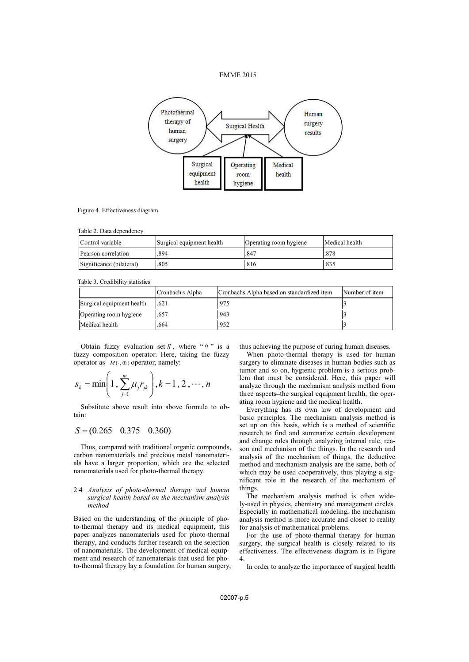## EMME 2015



Figure 4. Effectiveness diagram

| Table 2. Data dependency |  |  |  |
|--------------------------|--|--|--|
|--------------------------|--|--|--|

| Control variable         | Surgical equipment health | Operating room hygiene | Medical health |
|--------------------------|---------------------------|------------------------|----------------|
| Pearson correlation      | 894                       | .847                   | .878           |
| Significance (bilateral) | 805                       | .816                   | .835           |

Table 3. Credibility statistics

|                           | Cronbach's Alpha | Cronbachs Alpha based on standardized item | Number of item |
|---------------------------|------------------|--------------------------------------------|----------------|
| Surgical equipment health | .621             | .975                                       |                |
| Operating room hygiene    | .657             | .943                                       |                |
| Medical health            | .664             | .952                                       |                |

Obtain fuzzy evaluation set *S*, where " $\circ$ " is a fuzzy composition operator. Here, taking the fuzzy operator as  $M(\cdot, \oplus)$  operator, namely:

$$
s_k = \min\left(1, \sum_{j=1}^m \mu_j r_{jk}\right), k = 1, 2, \dots, n
$$

Substitute above result into above formula to obtain:

# $S = (0.265 \quad 0.375 \quad 0.360)$

Thus, compared with traditional organic compounds, carbon nanomaterials and precious metal nanomaterials have a larger proportion, which are the selected nanomaterials used for photo-thermal therapy.

### 2.4 *Analysis of photo-thermal therapy and human surgical health based on the mechanism analysis method*

Based on the understanding of the principle of photo-thermal therapy and its medical equipment, this paper analyzes nanomaterials used for photo-thermal therapy, and conducts further research on the selection of nanomaterials. The development of medical equipment and research of nanomaterials that used for photo-thermal therapy lay a foundation for human surgery, thus achieving the purpose of curing human diseases.

When photo-thermal therapy is used for human surgery to eliminate diseases in human bodies such as tumor and so on, hygienic problem is a serious problem that must be considered. Here, this paper will analyze through the mechanism analysis method from three aspects**–**the surgical equipment health, the operating room hygiene and the medical health.

Everything has its own law of development and basic principles. The mechanism analysis method is set up on this basis, which is a method of scientific research to find and summarize certain development and change rules through analyzing internal rule, reason and mechanism of the things. In the research and analysis of the mechanism of things, the deductive method and mechanism analysis are the same, both of which may be used cooperatively, thus playing a significant role in the research of the mechanism of things.

The mechanism analysis method is often widely-used in physics, chemistry and management circles. Especially in mathematical modeling, the mechanism analysis method is more accurate and closer to reality for analysis of mathematical problems.

For the use of photo-thermal therapy for human surgery, the surgical health is closely related to its effectiveness. The effectiveness diagram is in Figure 4.

In order to analyze the importance of surgical health